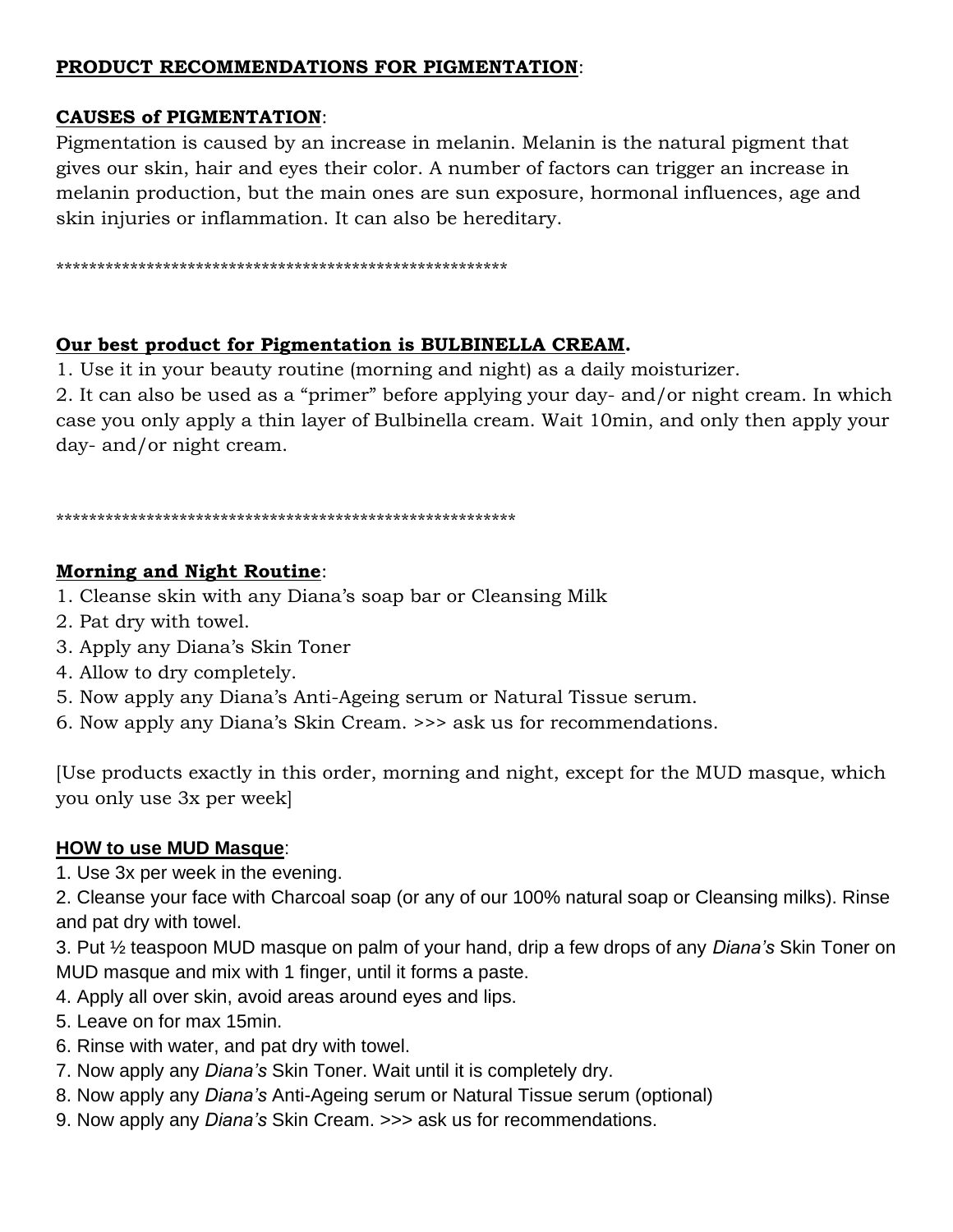# **PRODUCT RECOMMENDATIONS FOR PIGMENTATION**:

# **CAUSES of PIGMENTATION**:

Pigmentation is caused by an increase in melanin. Melanin is the natural pigment that gives our skin, hair and eyes their color. A number of factors can trigger an increase in melanin production, but the main ones are sun exposure, hormonal influences, age and skin injuries or inflammation. It can also be hereditary.

\*\*\*\*\*\*\*\*\*\*\*\*\*\*\*\*\*\*\*\*\*\*\*\*\*\*\*\*\*\*\*\*\*\*\*\*\*\*\*\*\*\*\*\*\*\*\*\*\*\*\*\*\*\*\*

# **Our best product for Pigmentation is BULBINELLA CREAM.**

1. Use it in your beauty routine (morning and night) as a daily moisturizer.

2. It can also be used as a "primer" before applying your day- and/or night cream. In which case you only apply a thin layer of Bulbinella cream. Wait 10min, and only then apply your day- and/or night cream.

#### \*\*\*\*\*\*\*\*\*\*\*\*\*\*\*\*\*\*\*\*\*\*\*\*\*\*\*\*\*\*\*\*\*\*\*\*\*\*\*\*\*\*\*\*\*\*\*\*\*\*\*\*\*\*\*\*

# **Morning and Night Routine**:

- 1. Cleanse skin with any Diana's soap bar or Cleansing Milk
- 2. Pat dry with towel.
- 3. Apply any Diana's Skin Toner
- 4. Allow to dry completely.
- 5. Now apply any Diana's Anti-Ageing serum or Natural Tissue serum.
- 6. Now apply any Diana's Skin Cream. >>> ask us for recommendations.

[Use products exactly in this order, morning and night, except for the MUD masque, which you only use 3x per week]

# **HOW to use MUD Masque**:

1. Use 3x per week in the evening.

2. Cleanse your face with Charcoal soap (or any of our 100% natural soap or Cleansing milks). Rinse and pat dry with towel.

3. Put ½ teaspoon MUD masque on palm of your hand, drip a few drops of any *Diana's* Skin Toner on MUD masque and mix with 1 finger, until it forms a paste.

- 4. Apply all over skin, avoid areas around eyes and lips.
- 5. Leave on for max 15min.
- 6. Rinse with water, and pat dry with towel.
- 7. Now apply any *Diana's* Skin Toner. Wait until it is completely dry.
- 8. Now apply any *Diana's* Anti-Ageing serum or Natural Tissue serum (optional)
- 9. Now apply any *Diana's* Skin Cream. >>> ask us for recommendations.